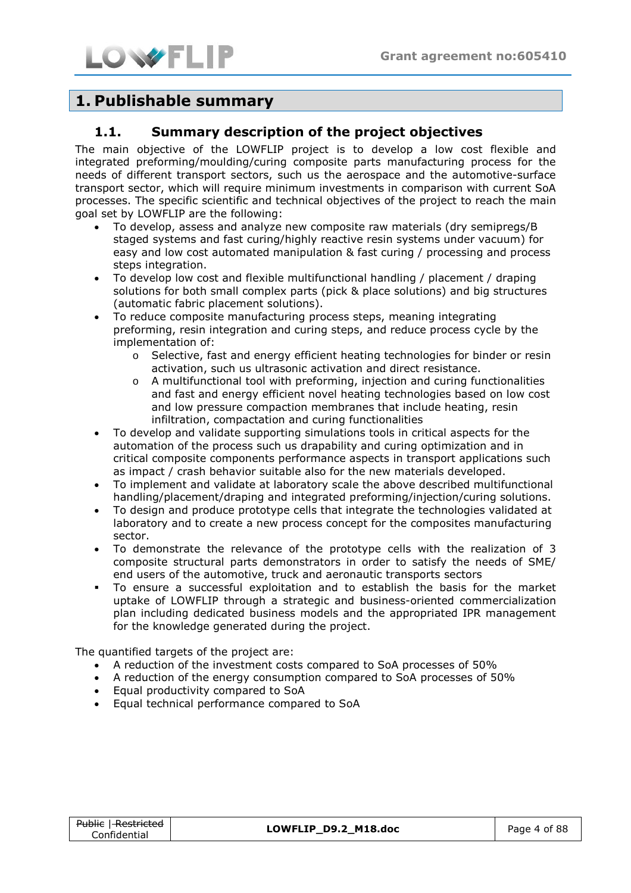

# **1. Publishable summary**

### **1.1. Summary description of the project objectives**

The main objective of the LOWFLIP project is to develop a low cost flexible and integrated preforming/moulding/curing composite parts manufacturing process for the needs of different transport sectors, such us the aerospace and the automotive-surface transport sector, which will require minimum investments in comparison with current SoA processes. The specific scientific and technical objectives of the project to reach the main goal set by LOWFLIP are the following:

- To develop, assess and analyze new composite raw materials (dry semipregs/B staged systems and fast curing/highly reactive resin systems under vacuum) for easy and low cost automated manipulation & fast curing / processing and process steps integration.
- To develop low cost and flexible multifunctional handling / placement / draping solutions for both small complex parts (pick & place solutions) and big structures (automatic fabric placement solutions).
- To reduce composite manufacturing process steps, meaning integrating preforming, resin integration and curing steps, and reduce process cycle by the implementation of:
	- o Selective, fast and energy efficient heating technologies for binder or resin activation, such us ultrasonic activation and direct resistance.
	- $\circ$  A multifunctional tool with preforming, injection and curing functionalities and fast and energy efficient novel heating technologies based on low cost and low pressure compaction membranes that include heating, resin infiltration, compactation and curing functionalities
- To develop and validate supporting simulations tools in critical aspects for the automation of the process such us drapability and curing optimization and in critical composite components performance aspects in transport applications such as impact / crash behavior suitable also for the new materials developed.
- To implement and validate at laboratory scale the above described multifunctional handling/placement/draping and integrated preforming/injection/curing solutions.
- To design and produce prototype cells that integrate the technologies validated at laboratory and to create a new process concept for the composites manufacturing sector.
- To demonstrate the relevance of the prototype cells with the realization of 3 composite structural parts demonstrators in order to satisfy the needs of SME/ end users of the automotive, truck and aeronautic transports sectors
- To ensure a successful exploitation and to establish the basis for the market uptake of LOWFLIP through a strategic and business-oriented commercialization plan including dedicated business models and the appropriated IPR management for the knowledge generated during the project.

The quantified targets of the project are:

- A reduction of the investment costs compared to SoA processes of 50%
- A reduction of the energy consumption compared to SoA processes of 50%
- Equal productivity compared to SoA
- Equal technical performance compared to SoA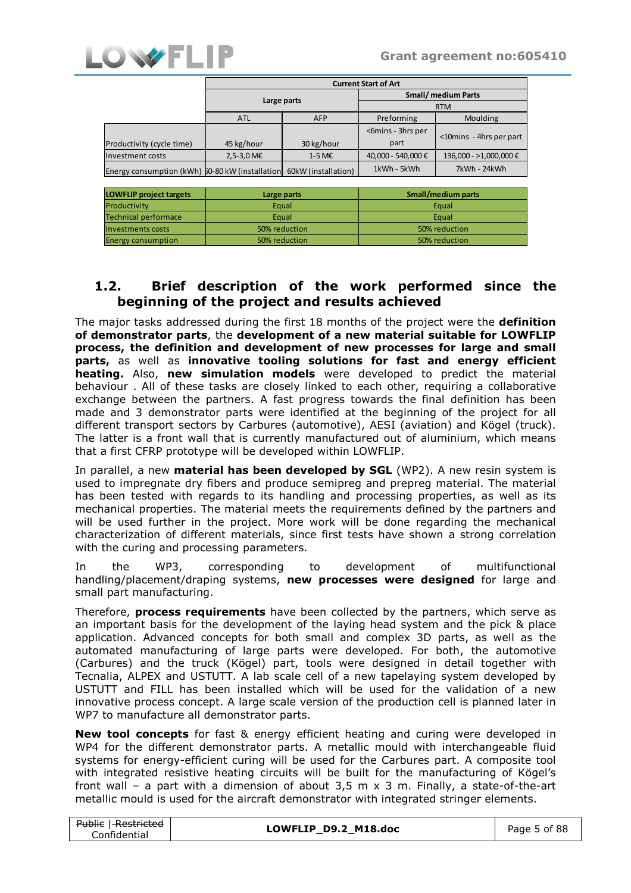

Energy consumption

50% reduction

|                                                 | <b>Current Start of Art</b> |                     |                            |                         |  |
|-------------------------------------------------|-----------------------------|---------------------|----------------------------|-------------------------|--|
|                                                 | Large parts                 |                     | <b>Small/ medium Parts</b> |                         |  |
|                                                 |                             |                     | <b>RTM</b>                 |                         |  |
|                                                 | <b>ATL</b>                  | <b>AFP</b>          | Preforming                 | Moulding                |  |
| Productivity (cycle time)                       | 45 kg/hour                  | 30 kg/hour          | <6mins - 3hrs per<br>part  | <10mins - 4hrs per part |  |
| Investment costs                                | $2,5-3,0$ M€                | 1-5 M€              | 40.000 - 540.000 €         | 136,000 - >1,000,000 €  |  |
| Energy consumption (kWh) 50-80 kW (installation |                             | 60kW (installation) | 1kWh - 5kWh                | 7kWh - 24kWh            |  |
|                                                 |                             |                     |                            |                         |  |
| <b>LOWFLIP project targets</b>                  | Large parts                 |                     | Small/medium parts         |                         |  |
| Productivity                                    | Equal                       |                     | Equal                      |                         |  |
| <b>Technical performace</b>                     | Equal                       |                     | Equal                      |                         |  |
| <b>Investments costs</b>                        | 50% reduction               |                     | 50% reduction              |                         |  |

50% reduction

# **1.2. Brief description of the work performed since the beginning of the project and results achieved**

The major tasks addressed during the first 18 months of the project were the **definition of demonstrator parts**, the **development of a new material suitable for LOWFLIP process, the definition and development of new processes for large and small parts,** as well as **innovative tooling solutions for fast and energy efficient heating.** Also, **new simulation models** were developed to predict the material behaviour . All of these tasks are closely linked to each other, requiring a collaborative exchange between the partners. A fast progress towards the final definition has been made and 3 demonstrator parts were identified at the beginning of the project for all different transport sectors by Carbures (automotive), AESI (aviation) and Kögel (truck). The latter is a front wall that is currently manufactured out of aluminium, which means that a first CFRP prototype will be developed within LOWFLIP.

In parallel, a new **material has been developed by SGL** (WP2). A new resin system is used to impregnate dry fibers and produce semipreg and prepreg material. The material has been tested with regards to its handling and processing properties, as well as its mechanical properties. The material meets the requirements defined by the partners and will be used further in the project. More work will be done regarding the mechanical characterization of different materials, since first tests have shown a strong correlation with the curing and processing parameters.

In the WP3, corresponding to development of multifunctional handling/placement/draping systems, **new processes were designed** for large and small part manufacturing.

Therefore, **process requirements** have been collected by the partners, which serve as an important basis for the development of the laying head system and the pick & place application. Advanced concepts for both small and complex 3D parts, as well as the automated manufacturing of large parts were developed. For both, the automotive (Carbures) and the truck (Kögel) part, tools were designed in detail together with Tecnalia, ALPEX and USTUTT. A lab scale cell of a new tapelaying system developed by USTUTT and FILL has been installed which will be used for the validation of a new innovative process concept. A large scale version of the production cell is planned later in WP7 to manufacture all demonstrator parts.

**New tool concepts** for fast & energy efficient heating and curing were developed in WP4 for the different demonstrator parts. A metallic mould with interchangeable fluid systems for energy-efficient curing will be used for the Carbures part. A composite tool with integrated resistive heating circuits will be built for the manufacturing of Kögel's front wall – a part with a dimension of about  $3.5 \text{ m} \times 3 \text{ m}$ . Finally, a state-of-the-art metallic mould is used for the aircraft demonstrator with integrated stringer elements.

| <del>Public</del>   <del>Restricted</del> | LOWFLIP_D9.2_M18.doc | Page 5 of 88 |
|-------------------------------------------|----------------------|--------------|
| Confidential                              |                      |              |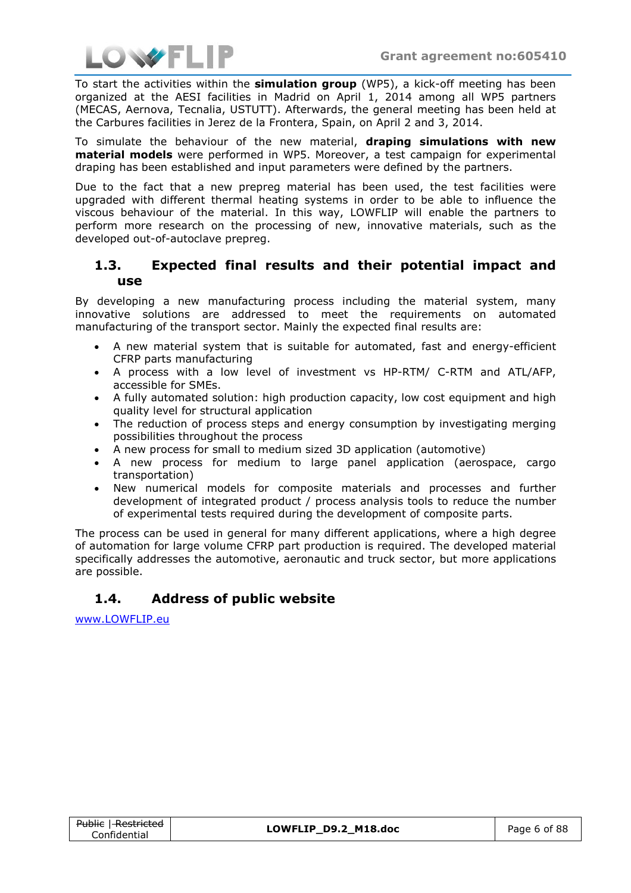

To start the activities within the **simulation group** (WP5), a kick-off meeting has been organized at the AESI facilities in Madrid on April 1, 2014 among all WP5 partners (MECAS, Aernova, Tecnalia, USTUTT). Afterwards, the general meeting has been held at the Carbures facilities in Jerez de la Frontera, Spain, on April 2 and 3, 2014.

To simulate the behaviour of the new material, **draping simulations with new material models** were performed in WP5. Moreover, a test campaign for experimental draping has been established and input parameters were defined by the partners.

Due to the fact that a new prepreg material has been used, the test facilities were upgraded with different thermal heating systems in order to be able to influence the viscous behaviour of the material. In this way, LOWFLIP will enable the partners to perform more research on the processing of new, innovative materials, such as the developed out-of-autoclave prepreg.

### **1.3. Expected final results and their potential impact and use**

By developing a new manufacturing process including the material system, many innovative solutions are addressed to meet the requirements on automated manufacturing of the transport sector. Mainly the expected final results are:

- A new material system that is suitable for automated, fast and energy-efficient CFRP parts manufacturing
- A process with a low level of investment vs HP-RTM/ C-RTM and ATL/AFP, accessible for SMEs.
- A fully automated solution: high production capacity, low cost equipment and high quality level for structural application
- The reduction of process steps and energy consumption by investigating merging possibilities throughout the process
- A new process for small to medium sized 3D application (automotive)
- A new process for medium to large panel application (aerospace, cargo transportation)
- New numerical models for composite materials and processes and further development of integrated product / process analysis tools to reduce the number of experimental tests required during the development of composite parts.

The process can be used in general for many different applications, where a high degree of automation for large volume CFRP part production is required. The developed material specifically addresses the automotive, aeronautic and truck sector, but more applications are possible.

# **1.4. Address of public website**

[www.LOWFLIP.eu](http://www.lowflip.eu/)